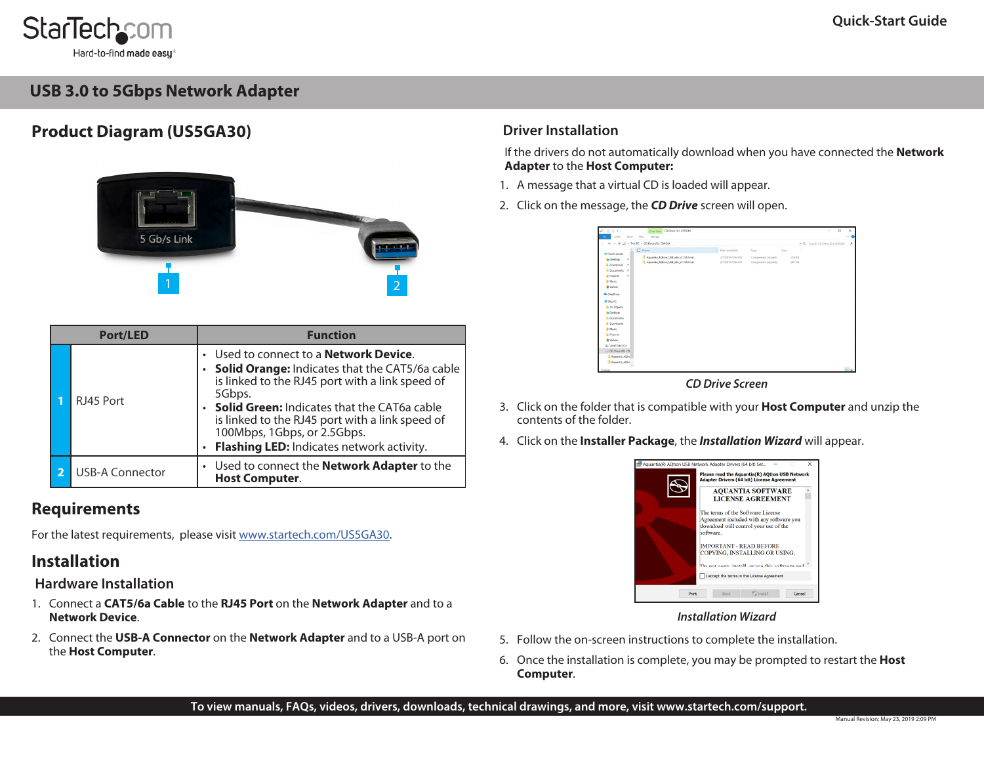

Hard-to-find **made easu** 

# **USB 3.0 to 5Gbps Network Adapter**

# **Product Diagram (US5GA30)**



| <b>Port/LED</b> |  |                        | <b>Function</b>                                                                                                                                                                                                                                                                                                                                           |  |  |
|-----------------|--|------------------------|-----------------------------------------------------------------------------------------------------------------------------------------------------------------------------------------------------------------------------------------------------------------------------------------------------------------------------------------------------------|--|--|
|                 |  | RJ45 Port              | Used to connect to a <b>Network Device</b> .<br><b>Solid Orange: Indicates that the CAT5/6a cable</b><br>is linked to the RJ45 port with a link speed of<br>5Gbps.<br>• <b>Solid Green:</b> Indicates that the CAT6a cable<br>is linked to the RJ45 port with a link speed of<br>100Mbps, 1Gbps, or 2.5Gbps.<br>Flashing LED: Indicates network activity. |  |  |
|                 |  | <b>USB-A Connector</b> | • Used to connect the Network Adapter to the<br><b>Host Computer.</b>                                                                                                                                                                                                                                                                                     |  |  |

## **Requirements**

For the latest requirements, please visit [www.startech.com/](http://www.startech.com/US5GA30)US5GA30.

## **Installation**

### **Hardware Installation**

- 1. Connect a **CAT5/6a Cable** to the **RJ45 Port** on the **Network Adapter** and to a **Network Device**.
- 2. Connect the **USB-A Connector** on the **Network Adapter** and to a USB-A port on the **Host Computer**.

## **Driver Installation**

If the drivers do not automatically download when you have connected the **Network Adapter** to the **Host Computer:**

- 1. A message that a virtual CD is loaded will appear.
- 2. Click on the message, the *CD Drive* screen will open.

| 个<br>$\mathbf{a}$<br>$\sim$        | S > This PC > CD Drive (D) CDROM        |                  |                     |        | v & Search CD Drive (D.) CDROM | $\mathcal{P}$ |
|------------------------------------|-----------------------------------------|------------------|---------------------|--------|--------------------------------|---------------|
| * Outch access                     | $\Box$ Name                             | v Date modified  | Type                | Size   |                                |               |
| Desktop<br>٠                       | 1. Aquantia AQtion_USB_x64_v1.7.0.0.msi | 2/7/2019 1:58 AM | Compressed (zipped) | 318 KB |                                |               |
| 4 Doumloads #                      | Aquantia_AQtion_USB_x86_v1.7.0.0msi     | 2/7/2019 1:58 AM | Compressed (zipped) | 287 KB |                                |               |
| <b>D</b> Documents #               |                                         |                  |                     |        |                                |               |
| <b>L</b> Pictures<br>$\mathcal{L}$ |                                         |                  |                     |        |                                |               |
| <b>B</b> Music                     |                                         |                  |                     |        |                                |               |
| <b>B</b> Videos                    |                                         |                  |                     |        |                                |               |
| <b>4</b> OneDrive                  |                                         |                  |                     |        |                                |               |
|                                    |                                         |                  |                     |        |                                |               |
| <b>St This PC</b>                  |                                         |                  |                     |        |                                |               |
| <b>B</b> 3D Objects                |                                         |                  |                     |        |                                |               |
| Desktop                            |                                         |                  |                     |        |                                |               |
| <b>Fi</b> Documents                |                                         |                  |                     |        |                                |               |
| <b>L</b> Downloads                 |                                         |                  |                     |        |                                |               |
| <b>Music</b>                       |                                         |                  |                     |        |                                |               |
| <b>L</b> Pictures                  |                                         |                  |                     |        |                                |               |
| <b>B</b> Videos                    |                                         |                  |                     |        |                                |               |
| E. Local Disk (C)                  |                                         |                  |                     |        |                                |               |
| CO Dive (0) CD                     |                                         |                  |                     |        |                                |               |
| Aguarda AQUE                       |                                         |                  |                     |        |                                |               |
| Aquentia AOSc                      |                                         |                  |                     |        |                                |               |

*CD Drive Screen*

- 3. Click on the folder that is compatible with your **Host Computer** and unzip the contents of the folder.
- 4. Click on the **Installer Package**, the *Installation Wizard* will appear.



### *Installation Wizard*

- 5. Follow the on-screen instructions to complete the installation.
- 6. Once the installation is complete, you may be prompted to restart the **Host Computer**.